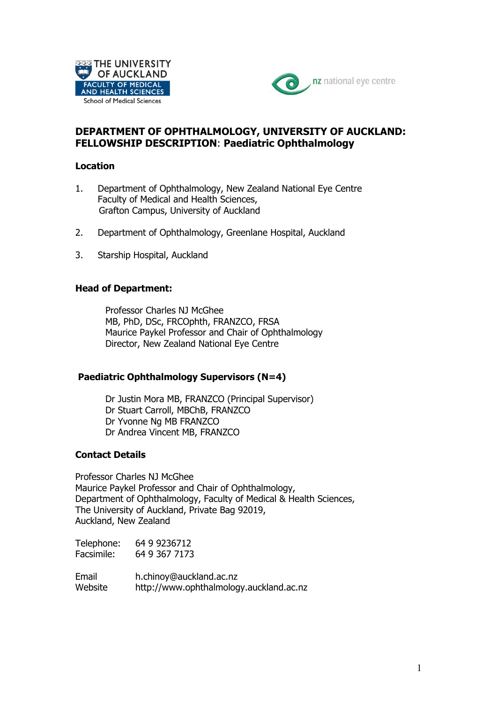



# **DEPARTMENT OF OPHTHALMOLOGY, UNIVERSITY OF AUCKLAND: FELLOWSHIP DESCRIPTION**: **Paediatric Ophthalmology**

### **Location**

- 1. Department of Ophthalmology, New Zealand National Eye Centre Faculty of Medical and Health Sciences, Grafton Campus, University of Auckland
- 2. Department of Ophthalmology, Greenlane Hospital, Auckland
- 3. Starship Hospital, Auckland

## **Head of Department:**

Professor Charles NJ McGhee MB, PhD, DSc, FRCOphth, FRANZCO, FRSA Maurice Paykel Professor and Chair of Ophthalmology Director, New Zealand National Eye Centre

#### **Paediatric Ophthalmology Supervisors (N=4)**

Dr Justin Mora MB, FRANZCO (Principal Supervisor) Dr Stuart Carroll, MBChB, FRANZCO Dr Yvonne Ng MB FRANZCO Dr Andrea Vincent MB, FRANZCO

## **Contact Details**

Professor Charles NJ McGhee Maurice Paykel Professor and Chair of Ophthalmology, Department of Ophthalmology, Faculty of Medical & Health Sciences, The University of Auckland, Private Bag 92019, Auckland, New Zealand

Telephone: 64 9 9236712 Facsimile: 64 9 367 7173

Email h.chinoy@auckland.ac.nz Website http://www.ophthalmology.auckland.ac.nz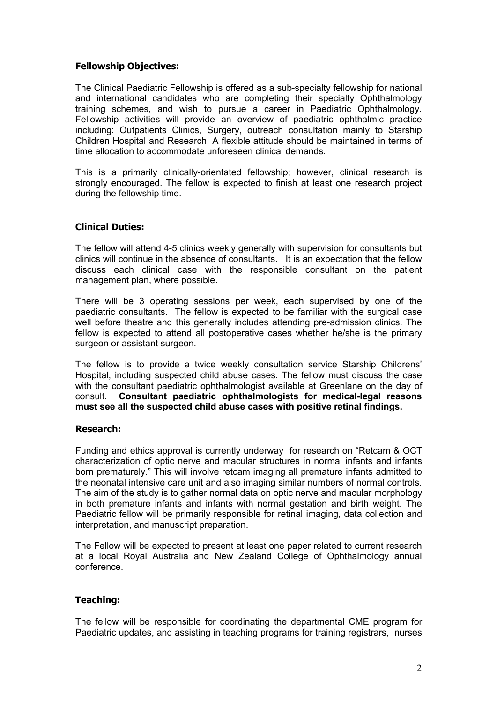### **Fellowship Objectives:**

The Clinical Paediatric Fellowship is offered as a sub-specialty fellowship for national and international candidates who are completing their specialty Ophthalmology training schemes, and wish to pursue a career in Paediatric Ophthalmology. Fellowship activities will provide an overview of paediatric ophthalmic practice including: Outpatients Clinics, Surgery, outreach consultation mainly to Starship Children Hospital and Research. A flexible attitude should be maintained in terms of time allocation to accommodate unforeseen clinical demands.

This is a primarily clinically-orientated fellowship; however, clinical research is strongly encouraged. The fellow is expected to finish at least one research project during the fellowship time.

### **Clinical Duties:**

The fellow will attend 4-5 clinics weekly generally with supervision for consultants but clinics will continue in the absence of consultants. It is an expectation that the fellow discuss each clinical case with the responsible consultant on the patient management plan, where possible.

There will be 3 operating sessions per week, each supervised by one of the paediatric consultants. The fellow is expected to be familiar with the surgical case well before theatre and this generally includes attending pre-admission clinics. The fellow is expected to attend all postoperative cases whether he/she is the primary surgeon or assistant surgeon.

The fellow is to provide a twice weekly consultation service Starship Childrens' Hospital, including suspected child abuse cases. The fellow must discuss the case with the consultant paediatric ophthalmologist available at Greenlane on the day of consult. **Consultant paediatric ophthalmologists for medical-legal reasons must see all the suspected child abuse cases with positive retinal findings.**

#### **Research:**

Funding and ethics approval is currently underway for research on "Retcam & OCT characterization of optic nerve and macular structures in normal infants and infants born prematurely." This will involve retcam imaging all premature infants admitted to the neonatal intensive care unit and also imaging similar numbers of normal controls. The aim of the study is to gather normal data on optic nerve and macular morphology in both premature infants and infants with normal gestation and birth weight. The Paediatric fellow will be primarily responsible for retinal imaging, data collection and interpretation, and manuscript preparation.

The Fellow will be expected to present at least one paper related to current research at a local Royal Australia and New Zealand College of Ophthalmology annual conference.

#### **Teaching:**

The fellow will be responsible for coordinating the departmental CME program for Paediatric updates, and assisting in teaching programs for training registrars, nurses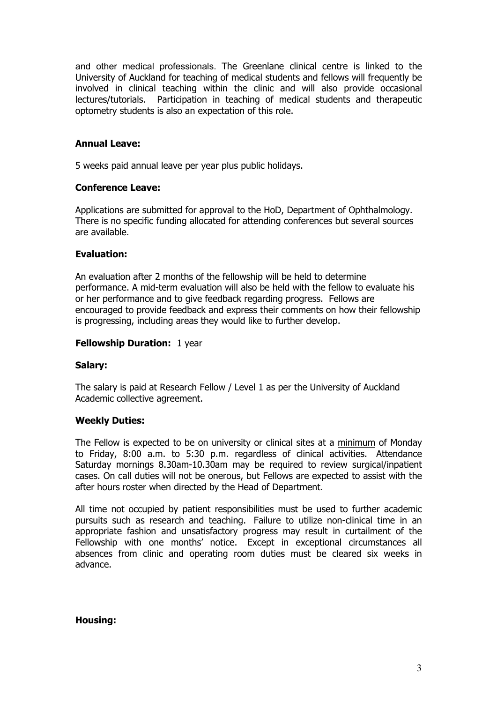and other medical professionals. The Greenlane clinical centre is linked to the University of Auckland for teaching of medical students and fellows will frequently be involved in clinical teaching within the clinic and will also provide occasional lectures/tutorials. Participation in teaching of medical students and therapeutic optometry students is also an expectation of this role.

### **Annual Leave:**

5 weeks paid annual leave per year plus public holidays.

#### **Conference Leave:**

Applications are submitted for approval to the HoD, Department of Ophthalmology. There is no specific funding allocated for attending conferences but several sources are available.

#### **Evaluation:**

An evaluation after 2 months of the fellowship will be held to determine performance. A mid-term evaluation will also be held with the fellow to evaluate his or her performance and to give feedback regarding progress. Fellows are encouraged to provide feedback and express their comments on how their fellowship is progressing, including areas they would like to further develop.

#### **Fellowship Duration:** 1 year

#### **Salary:**

The salary is paid at Research Fellow / Level 1 as per the University of Auckland Academic collective agreement.

#### **Weekly Duties:**

The Fellow is expected to be on university or clinical sites at a minimum of Monday to Friday, 8:00 a.m. to 5:30 p.m. regardless of clinical activities. Attendance Saturday mornings 8.30am-10.30am may be required to review surgical/inpatient cases. On call duties will not be onerous, but Fellows are expected to assist with the after hours roster when directed by the Head of Department.

All time not occupied by patient responsibilities must be used to further academic pursuits such as research and teaching. Failure to utilize non-clinical time in an appropriate fashion and unsatisfactory progress may result in curtailment of the Fellowship with one months' notice. Except in exceptional circumstances all absences from clinic and operating room duties must be cleared six weeks in advance.

#### **Housing:**